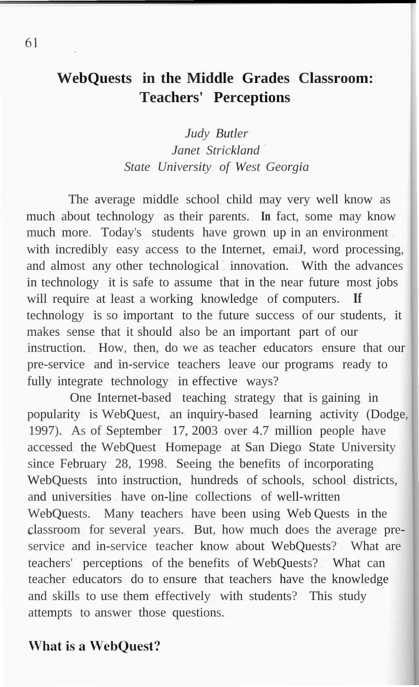# **WebQuests in the Middle Grades Classroom: Teachers' Perceptions**

*Judy Butler Janet Strickland State University of West Georgia*

The average middle school child may very well know as much about technology as their parents. **In** fact, some may know much more. Today's students have grown up in an environment with incredibly easy access to the Internet, email, word processing, and almost any other technological innovation. With the advances in technology it is safe to assume that in the near future most jobs will require at least a working knowledge of computers. **If** technology is so important to the future success of our students, it makes sense that it should also be an important part of our instruction. How, then, do we as teacher educators ensure that our pre-service and in-service teachers leave our programs ready to fully integrate technology in effective ways?

One Internet-based teaching strategy that is gaining in popularity is WebQuest, an inquiry-based learning activity (Dodge, 1997). As of September 17, 2003 over 4.7 million people have accessed the WebQuest Homepage at San Diego State University since February 28, 1998. Seeing the benefits of incorporating WebQuests into instruction, hundreds of schools, school districts, and universities have on-line collections of well-written WebQuests. Many teachers have been using Web Quests in the classroom for several years. But, how much does the average preservice and in-service teacher know about WebQuests? What are teachers' perceptions of the benefits of WebQuests? What can teacher educators do to ensure that teachers have the knowledge and skills to use them effectively with students? This study attempts to answer those questions.

#### **What is a WebQuest?**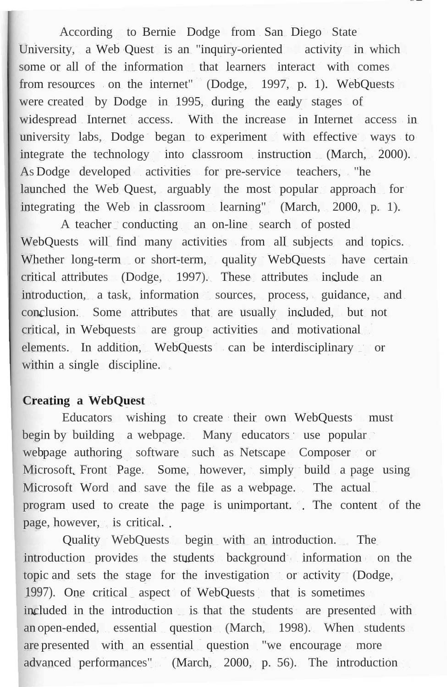According to Bernie Dodge from San Diego State University, a Web Quest is an "inquiry-oriented activity in which some or all of the information that learners interact with comes from resources on the internet" (Dodge, 1997, p. 1). WebQuests were created by Dodge in 1995, during the early stages of widespread Internet access. With the increase in Internet access in university labs, Dodge began to experiment with effective ways to integrate the technology into classroom instruction (March, 2000). As Dodge developed activities for pre-service teachers, "he launched the Web Quest, arguably the most popular approach for integrating the Web in classroom learning" (March, 2000, p. 1).

A teacher conducting an on-line search of posted WebQuests will find many activities from all subjects and topics. Whether long-term or short-term, quality WebQuests have certain critical attributes (Dodge, 1997). These attributes include an introduction, a task, information sources, process, guidance, and conclusion. Some attributes that are usually included, but not critical, in Webquests are group activities and motivational elements. In addition, WebQuests can be interdisciplinary or within a single discipline.

#### **Creating a WebQuest**

Educators wishing to create their own WebQuests must begin by building a webpage. Many educators use popular webpage authoring software such as Netscape Composer or Microsoft Front Page. Some, however, simply build a page using Microsoft Word and save the file as a webpage. The actual program used to create the page is unimportant. The content of the page, however, is critical.

Quality WebQuests begin with an introduction. The introduction provides the students background information on the topic and sets the stage for the investigation or activity (Dodge, 1997). One critical aspect of WebQuests that is sometimes included in the introduction is that the students are presented with an open-ended, essential question (March, 1998). When students are presented with an essential question "we encourage more advanced performances" (March, 2000, p. 56). The introduction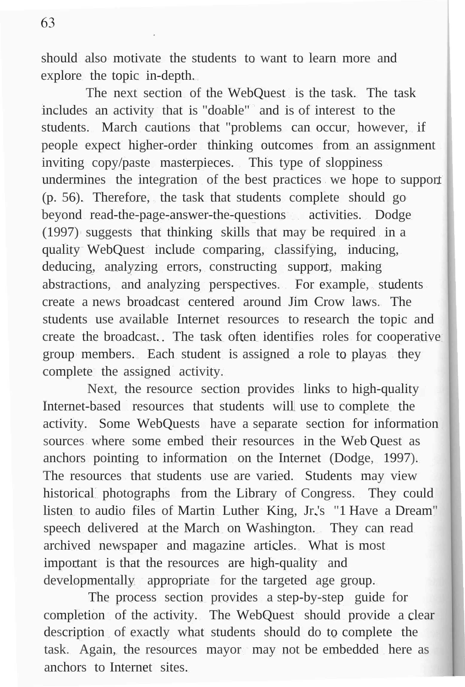63

should also motivate the students to want to learn more and explore the topic in-depth.

The next section of the WebQuest is the task. The task includes an activity that is "doable" and is of interest to the students. March cautions that "problems can occur, however, if people expect higher-order thinking outcomes from an assignment inviting copy/paste masterpieces. This type of sloppiness undermines the integration of the best practices we hope to support (p. 56). Therefore, the task that students complete should go beyond read-the-page-answer-the-questions activities. Dodge (1997) suggests that thinking skills that may be required in a quality WebQuest include comparing, classifying, inducing, deducing, analyzing errors, constructing support, making abstractions, and analyzing perspectives. For example, students create a news broadcast centered around Jim Crow laws. The students use available Internet resources to research the topic and create the broadcast. The task often identifies roles for cooperative group members. Each student is assigned a role to playas they complete the assigned activity.

Next, the resource section provides links to high-quality Internet-based resources that students will use to complete the activity. Some WebQuests have a separate section for information sources where some embed their resources in the Web Quest as anchors pointing to information on the Internet (Dodge, 1997). The resources that students use are varied. Students may view historical photographs from the Library of Congress. They could listen to audio files of Martin Luther King, Jr.'s "1 Have a Dream" speech delivered at the March on Washington. They can read archived newspaper and magazine articles. What is most important is that the resources are high-quality and developmentally appropriate for the targeted age group.

The process section provides a step-by-step guide for completion of the activity. The WebQuest should provide a clear description of exactly what students should do to complete the task. Again, the resources mayor may not be embedded here as anchors to Internet sites.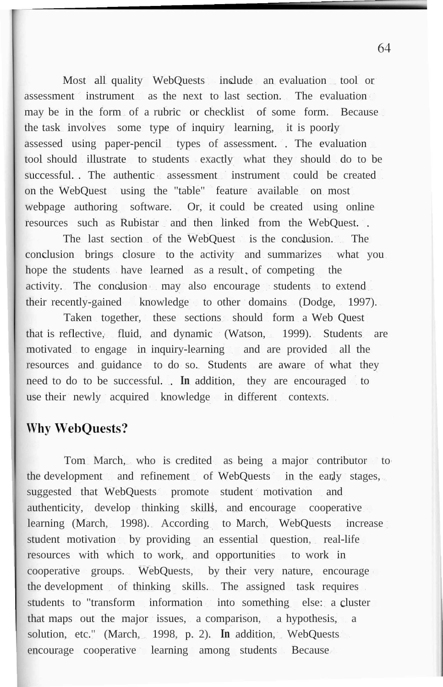Most all quality WebQuests include an evaluation tool or assessment instrument as the next to last section. The evaluation may be in the form of a rubric or checklist of some form. Because the task involves some type of inquiry learning, it is poorly assessed using paper-pencil types of assessment. The evaluation tool should illustrate to students exactly what they should do to be successful. The authentic assessment instrument could be created on the WebQuest using the "table" feature available on most webpage authoring software. Or, it could be created using online resources such as Rubistar and then linked from the WebQuest.

The last section of the WebQuest is the conclusion. The conclusion brings closure to the activity and summarizes what you hope the students have learned as a result, of competing the activity. The conclusion may also encourage students to extend their recently-gained knowledge to other domains (Dodge, 1997).

Taken together, these sections should form a Web Quest that is reflective, fluid, and dynamic (Watson, 1999). Students are motivated to engage in inquiry-learning and are provided all the resources and guidance to do so. Students are aware of what they need to do to be successful. **In** addition, they are encouraged to use their newly acquired knowledge in different contexts.

## **Why WebOuests?**

Tom March, who is credited as being a major contributor to the development and refinement of WebQuests in the early stages, suggested that WebQuests promote student motivation and authenticity, develop thinking skills, and encourage cooperative learning (March, 1998). According to March, WebQuests increase student motivation by providing an essential question, real-life resources with which to work, and opportunities to work in cooperative groups. WebQuests, by their very nature, encourage the development of thinking skills. The assigned task requires students to "transform information into something else: a cluster that maps out the major issues, a comparison, a hypothesis, a solution, etc." (March, 1998, p. 2). **In** addition, WebQuests encourage cooperative learning among students Because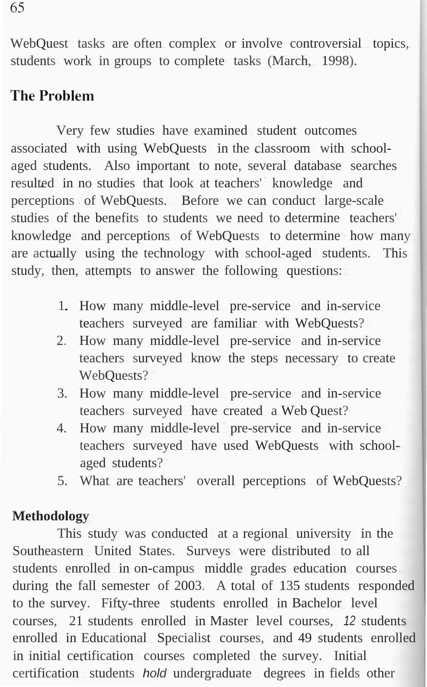WebQuest tasks are often complex or involve controversial topics, students work in groups to complete tasks (March, 1998).

# **The Problem**

Very few studies have examined student outcomes associated with using WebQuests in the classroom with schoolaged students. Also important to note, several database searches resulted in no studies that look at teachers' knowledge and perceptions of WebQuests. Before we can conduct large-scale studies of the benefits to students we need to determine teachers' knowledge and perceptions of WebQuests to determine how many are actually using the technology with school-aged students. This study, then, attempts to answer the following questions:

- 1. How many middle-level pre-service and in-service teachers surveyed are familiar with WebQuests?
- 2. How many middle-level pre-service and in-service teachers surveyed know the steps necessary to create WebOuests?
- 3. How many middle-level pre-service and in-service teachers surveyed have created a Web Quest?
- 4. How many middle-level pre-service and in-service teachers surveyed have used WebQuests with schoolaged students?
- 5. What are teachers' overall perceptions of WebQuests?

# **Methodology**

This study was conducted at a regional university in the Southeastern United States. Surveys were distributed to all students enrolled in on-campus middle grades education courses during the fall semester of 2003. A total of 135 students responded to the survey. Fifty-three students enrolled in Bachelor level courses, 21 students enrolled in Master level courses, *12* students enrolled in Educational Specialist courses, and 49 students enrolled in initial certification courses completed the survey. Initial certification students *hold* undergraduate degrees in fields other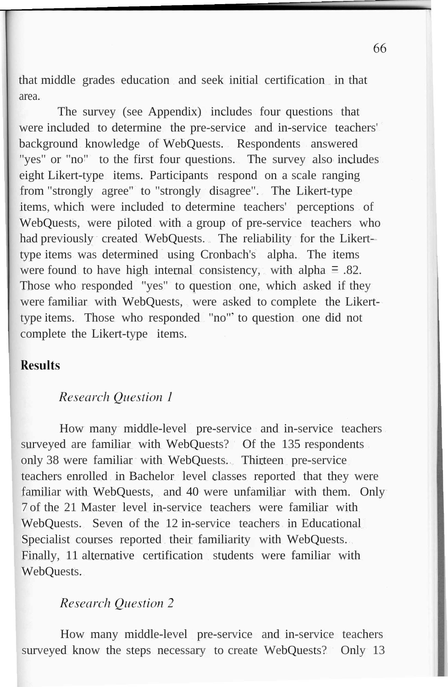that middle grades education and seek initial certification in that area.

The survey (see Appendix) includes four questions that were included to determine the pre-service and in-service teachers' background knowledge of WebQuests. Respondents answered "yes" or "no" to the first four questions. The survey also includes eight Likert-type items. Participants respond on a scale ranging from "strongly agree" to "strongly disagree". The Likert-type items, which were included to determine teachers' perceptions of WebQuests, were piloted with a group of pre-service teachers who had previously created WebQuests. The reliability for the Likerttype items was determined using Cronbach's alpha. The items were found to have high internal consistency, with alpha  $= .82$ . Those who responded "yes" to question one, which asked if they were familiar with WebQuests, were asked to complete the Likerttype items. Those who responded "no" to question one did not complete the Likert-type items.

## **Results**

#### **Research Ouestion 1**

How many middle-level pre-service and in-service teachers surveyed are familiar with WebQuests? Of the 135 respondents only 38 were familiar with WebQuests. Thirteen pre-service teachers enrolled in Bachelor level classes reported that they were familiar with WebQuests, and 40 were unfamiliar with them. Only 7 of the 21 Master level in-service teachers were familiar with WebQuests. Seven of the 12 in-service teachers in Educational Specialist courses reported their familiarity with WebQuests. Finally, 11 alternative certification students were familiar with WebQuests.

## **Research Ouestion 2**

How many middle-level pre-service and in-service teachers surveyed know the steps necessary to create WebQuests? Only 13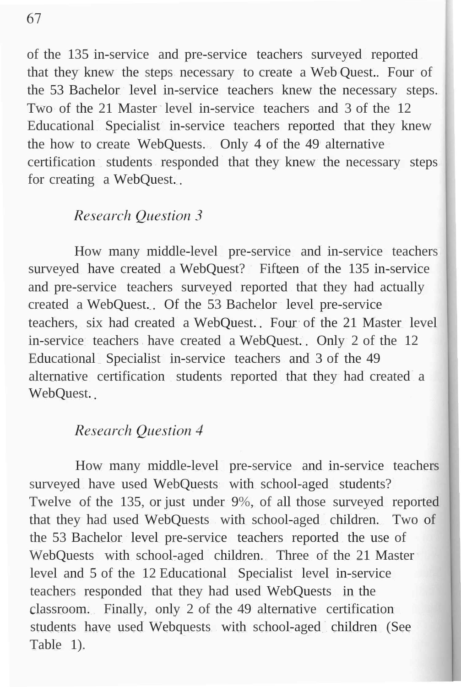of the 135 in-service and pre-service teachers surveyed reported that they knew the steps necessary to create a Web Quest. Four of the 53 Bachelor level in-service teachers knew the necessary steps. Two of the 21 Master level in-service teachers and 3 of the 12 Educational Specialist in-service teachers reported that they knew the how to create WebQuests. Only 4 of the 49 alternative certification students responded that they knew the necessary steps for creating a WebOuest...

### **Research Ouestion 3**

How many middle-level pre-service and in-service teachers surveyed have created a WebQuest? Fifteen of the 135 in-service and pre-service teachers surveyed reported that they had actually created a WebQuest. Of the 53 Bachelor level pre-service teachers, six had created a WebQuest. Four of the 21 Master level in-service teachers have created a WebQuest. Only 2 of the 12 Educational Specialist in-service teachers and 3 of the 49 alternative certification students reported that they had created a WebQuest...

# **Research Ouestion 4**

How many middle-level pre-service and in-service teachers surveyed have used WebQuests with school-aged students? Twelve of the 135, or just under 9%, of all those surveyed reported that they had used WebQuests with school-aged children. Two of the 53 Bachelor level pre-service teachers reported the use of WebQuests with school-aged children. Three of the 21 Master level and 5 of the 12 Educational Specialist level in-service teachers responded that they had used WebQuests in the classroom. Finally, only 2 of the 49 alternative certification students have used Webquests with school-aged children (See Table 1).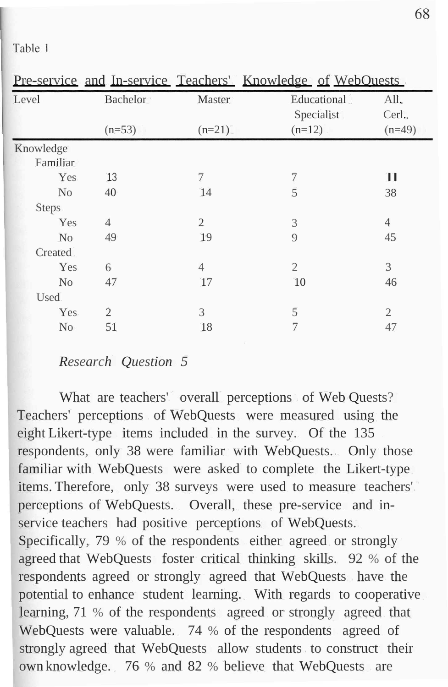| <b>Bachelor</b><br>All.<br>Level<br>Master<br>Educational<br>Specialist<br>Cerl |          |
|---------------------------------------------------------------------------------|----------|
| $(n=12)$<br>$(n=53)$<br>$(n=21)$                                                | $(n=49)$ |
| Knowledge                                                                       |          |
| Familiar                                                                        |          |
| п<br>13<br>7<br>7<br>Yes                                                        |          |
| 5<br>14<br>38<br>No<br>40                                                       |          |
| <b>Steps</b>                                                                    |          |
| 2<br>$\overline{4}$<br>Yes<br>$\overline{4}$<br>3                               |          |
| 19<br>45<br>49<br>9<br>N <sub>o</sub>                                           |          |
| <b>Created</b>                                                                  |          |
| 3<br>$\overline{2}$<br>Yes<br>$\overline{4}$<br>6                               |          |
| 10<br>47<br>17<br>46<br>N <sub>o</sub>                                          |          |
| Used.                                                                           |          |
| 5<br>Yes.<br>$\overline{2}$<br>3<br>2                                           |          |
| $\overline{7}$<br>51<br>N <sub>o</sub><br>18<br>47                              |          |

Table 1

#### *Research Question 5*

What are teachers' overall perceptions of Web Quests? Teachers' perceptions of WebQuests were measured using the eight Likert-type items included in the survey. Of the 135 respondents, only 38 were familiar with WebQuests. Only those familiar with WebQuests were asked to complete the Likert-type items. Therefore, only 38 surveys were used to measure teachers' perceptions of WebQuests. Overall, these pre-service and inservice teachers had positive perceptions of WebQuests. Specifically, 79 % of the respondents either agreed or strongly agreed that WebQuests foster critical thinking skills. 92 % of the respondents agreed or strongly agreed that WebQuests have the potential to enhance student learning. With regards to cooperative learning, 71 % of the respondents agreed or strongly agreed that WebQuests were valuable. 74 % of the respondents agreed of strongly agreed that WebQuests allow students to construct their own knowledge. 76 % and 82 % believe that WebQuests are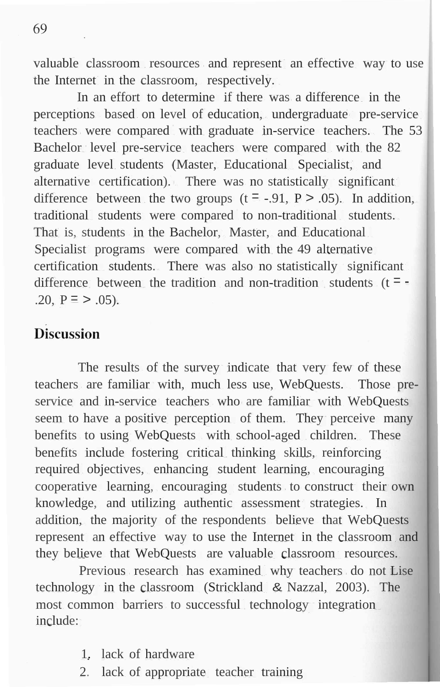valuable classroom resources and represent an effective way to use the Internet in the classroom, respectively.

In an effort to determine if there was a difference in the perceptions based on level of education, undergraduate pre-service teachers were compared with graduate in-service teachers. The 53 Bachelor level pre-service teachers were compared with the 82 graduate level students (Master, Educational Specialist, and alternative certification). There was no statistically significant difference between the two groups  $(t = -0.91, P > 0.05)$ . In addition, traditional students were compared to non-traditional students. That is, students in the Bachelor, Master, and Educational Specialist programs were compared with the 49 alternative certification students. There was also no statistically significant difference between the tradition and non-tradition students  $(t = -$ .20,  $P = > .05$ ).

# **Discussion**

The results of the survey indicate that very few of these teachers are familiar with, much less use, WebQuests. Those preservice and in-service teachers who are familiar with WebQuests seem to have a positive perception of them. They perceive many benefits to using WebQuests with school-aged children. These benefits include fostering critical thinking skills, reinforcing required objectives, enhancing student learning, encouraging cooperative learning, encouraging students to construct their own knowledge, and utilizing authentic assessment strategies. In addition, the majority of the respondents believe that WebQuests represent an effective way to use the Internet in the classroom and they believe that WebQuests are valuable classroom resources.

Previous research has examined why teachers do not Lise technology in the classroom (Strickland & Nazzal, 2003). The most common barriers to successful technology integration include:

- 1. lack of hardware
- 2. lack of appropriate teacher training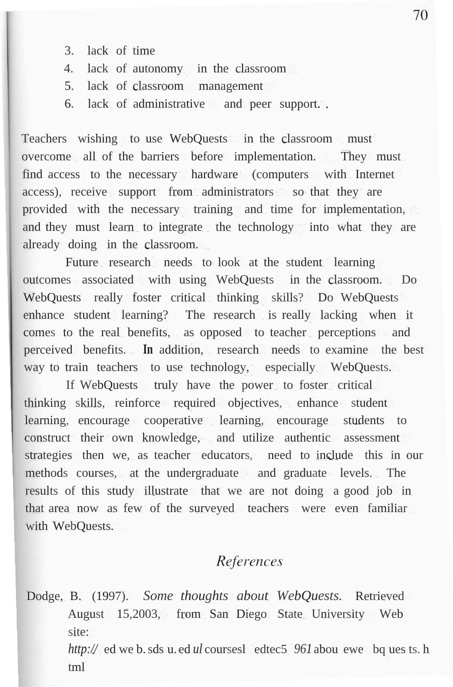- 3. lack of time
- 4. lack of autonomy in the classroom
- 5. lack of classroom management
- 6. lack of administrative and peer support.

Teachers wishing to use WebQuests in the classroom must overcome all of the barriers before implementation. They must find access to the necessary hardware (computers with Internet access), receive support from administrators so that they are provided with the necessary training and time for implementation, and they must learn to integrate the technology into what they are already doing in the classroom.

Future research needs to look at the student learning outcomes associated with using WebQuests in the classroom. Do WebQuests really foster critical thinking skills? Do WebQuests enhance student learning? The research is really lacking when it comes to the real benefits, as opposed to teacher perceptions and perceived benefits. **In** addition, research needs to examine the best way to train teachers to use technology, especially WebQuests.

If WebQuests truly have the power to foster critical thinking skills, reinforce required objectives, enhance student learning, encourage cooperative learning, encourage students to construct their own knowledge, and utilize authentic assessment strategies then we, as teacher educators, need to include this in our methods courses, at the undergraduate and graduate levels. The results of this study illustrate that we are not doing a good job in that area now as few of the surveyed teachers were even familiar with WebQuests.

# References

Dodge, B. (1997). *Some thoughts about WebQuests.* Retrieved August 15,2003, from San Diego State University Web site: *http://* ed we b.sds u. ed *ul* coursesl edtec5 *961* abou ewe bq ues ts. h

tml